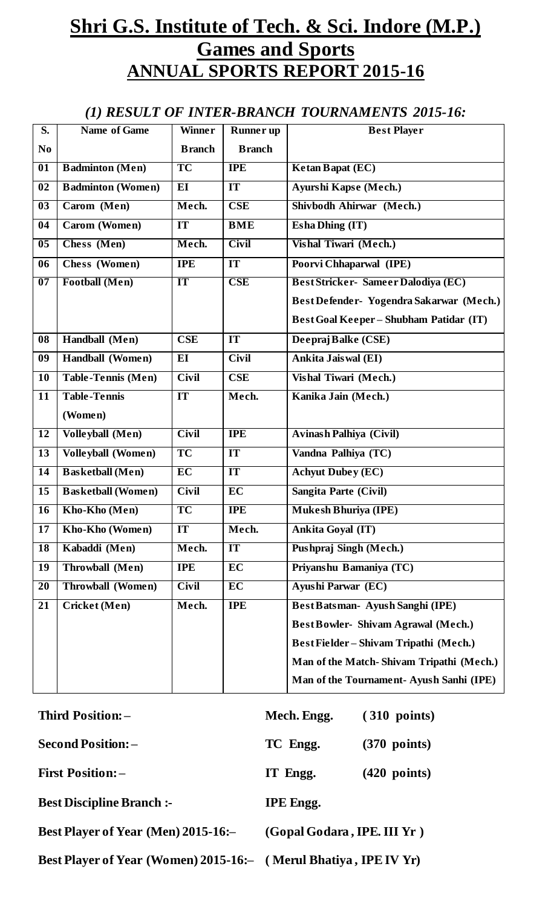# **Shri G.S. Institute of Tech. & Sci. Indore (M.P.) Games and Sports ANNUAL SPORTS REPORT 2015-16**

### *(1) RESULT OF INTER-BRANCH TOURNAMENTS 2015-16:*

| $\overline{\mathbf{S}}$ .  | Name of Game              | <b>Winner</b> | <b>Runner</b> up | <b>Best Player</b>                             |
|----------------------------|---------------------------|---------------|------------------|------------------------------------------------|
| N <sub>0</sub>             |                           | <b>Branch</b> | <b>Branch</b>    |                                                |
| $\overline{01}$            | <b>Badminton (Men)</b>    | TC            | <b>IPE</b>       | Ketan Bapat (EC)                               |
| 02                         | <b>Badminton (Women)</b>  | EI            | IT               | Ayurshi Kapse (Mech.)                          |
| $\overline{\mathbf{03}}$   | Carom (Men)               | Mech.         | <b>CSE</b>       | Shivbodh Ahirwar (Mech.)                       |
| 04                         | Carom (Women)             | IT            | <b>BME</b>       | <b>Esha Dhing (IT)</b>                         |
| $\overline{\overline{05}}$ | Chess (Men)               | Mech.         | <b>Civil</b>     | Vishal Tiwari (Mech.)                          |
| 06                         | Chess (Women)             | <b>IPE</b>    | IT               | Poorvi Chhaparwal (IPE)                        |
| $\overline{07}$            | <b>Football</b> (Men)     | IT            | <b>CSE</b>       | <b>BestStricker-Sameer Dalodiya (EC)</b>       |
|                            |                           |               |                  | Best Defender- Yogendra Sakarwar (Mech.)       |
|                            |                           |               |                  | <b>Best Goal Keeper - Shubham Patidar (IT)</b> |
| 08                         | Handball (Men)            | <b>CSE</b>    | IT               | Deepraj Balke (CSE)                            |
| 09                         | Handball (Women)          | EI            | <b>Civil</b>     | Ankita Jais wal (EI)                           |
| 10                         | <b>Table-Tennis (Men)</b> | <b>Civil</b>  | <b>CSE</b>       | Vishal Tiwari (Mech.)                          |
| 11                         | <b>Table-Tennis</b>       | IT            | Mech.            | Kanika Jain (Mech.)                            |
|                            | (Women)                   |               |                  |                                                |
| 12                         | <b>Volleyball</b> (Men)   | <b>Civil</b>  | <b>IPE</b>       | <b>Avinash Palhiya (Civil)</b>                 |
| 13                         | <b>Volleyball (Women)</b> | <b>TC</b>     | IT               | Vandna Palhiya (TC)                            |
| $\overline{14}$            | <b>Basketball</b> (Men)   | EC            | IT               | <b>Achyut Dubey (EC)</b>                       |
| 15                         | <b>Basketball (Women)</b> | <b>Civil</b>  | EC               | <b>Sangita Parte (Civil)</b>                   |
| 16                         | Kho-Kho (Men)             | <b>TC</b>     | <b>IPE</b>       | Mukesh Bhuriya (IPE)                           |
| 17                         | Kho-Kho (Women)           | <b>IT</b>     | Mech.            | <b>Ankita Goyal (IT)</b>                       |
| 18                         | Kabaddi (Men)             | Mech.         | IT               | Pushpraj Singh (Mech.)                         |
| 19                         | Throwball (Men)           | <b>IPE</b>    | EC               | Priyanshu Bamaniya (TC)                        |
| 20                         | <b>Throwball (Women)</b>  | <b>Civil</b>  | EC               | Ayushi Parwar (EC)                             |
| 21                         | Cricket (Men)             | Mech.         | <b>IPE</b>       | Best Batsman- Ayush Sanghi (IPE)               |
|                            |                           |               |                  | <b>Best Bowler-Shivam Agrawal (Mech.)</b>      |
|                            |                           |               |                  | Best Fielder – Shivam Tripathi (Mech.)         |
|                            |                           |               |                  | Man of the Match-Shivam Tripathi (Mech.)       |
|                            |                           |               |                  | Man of the Tournament-Ayush Sanhi (IPE)        |
|                            |                           |               |                  |                                                |

| Third Position: -                                                | Mech. Engg.                 | $(310 \text{ points})$ |
|------------------------------------------------------------------|-----------------------------|------------------------|
| <b>Second Position: -</b>                                        | TC Engg.                    | $(370 \text{ points})$ |
| <b>First Position: -</b>                                         | IT Engg.                    | $(420$ points)         |
| <b>Best Discipline Branch:-</b>                                  | <b>IPE</b> Engg.            |                        |
| <b>Best Player of Year (Men) 2015-16:-</b>                       | (Gopal Godara, IPE. III Yr) |                        |
| Best Player of Year (Women) 2015-16:- (Merul Bhatiya, IPE IV Yr) |                             |                        |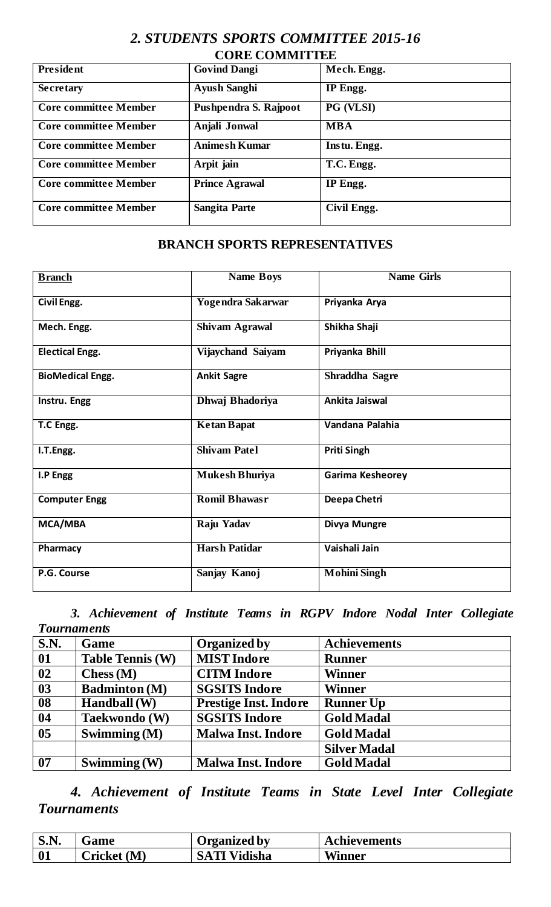#### *2. STUDENTS SPORTS COMMITTEE 2015-16* **CORE COMMITTEE**

| UUNE UUMMITTEE               |                       |                 |  |  |
|------------------------------|-----------------------|-----------------|--|--|
| President                    | <b>Govind Dangi</b>   | Mech. Engg.     |  |  |
| <b>Secretary</b>             | <b>Ayush Sanghi</b>   | <b>IP</b> Engg. |  |  |
| <b>Core committee Member</b> | Pushpendra S. Rajpoot | PG (VLSI)       |  |  |
| <b>Core committee Member</b> | Anjali Jonwal         | <b>MBA</b>      |  |  |
| <b>Core committee Member</b> | <b>Animesh Kumar</b>  | Instu. Engg.    |  |  |
| <b>Core committee Member</b> | Arpit jain            | T.C. Engg.      |  |  |
| <b>Core committee Member</b> | <b>Prince Agrawal</b> | IP Engg.        |  |  |
| <b>Core committee Member</b> | <b>Sangita Parte</b>  | Civil Engg.     |  |  |

#### **BRANCH SPORTS REPRESENTATIVES**

| <b>Branch</b>           | <b>Name Boys</b>         | <b>Name Girls</b>       |
|-------------------------|--------------------------|-------------------------|
| Civil Engg.             | <b>Yogendra Sakarwar</b> | Priyanka Arya           |
| Mech. Engg.             | <b>Shivam Agrawal</b>    | Shikha Shaji            |
| <b>Electical Engg.</b>  | Vijaychand Saiyam        | Priyanka Bhill          |
| <b>BioMedical Engg.</b> | <b>Ankit Sagre</b>       | Shraddha Sagre          |
| Instru. Engg            | <b>Dhwaj Bhadoriya</b>   | Ankita Jaiswal          |
| T.C Engg.               | <b>Ketan Bapat</b>       | Vandana Palahia         |
| I.T.Engg.               | <b>Shivam Patel</b>      | <b>Priti Singh</b>      |
| I.P Engg                | <b>Mukesh Bhuriya</b>    | <b>Garima Kesheorey</b> |
| <b>Computer Engg</b>    | <b>Romil Bhawasr</b>     | Deepa Chetri            |
| MCA/MBA                 | Raju Yadav               | Divya Mungre            |
| Pharmacy                | <b>Harsh Patidar</b>     | Vaishali Jain           |
| P.G. Course             | Sanjay Kanoj             | <b>Mohini Singh</b>     |

*3. Achievement of Institute Teams in RGPV Indore Nodal Inter Collegiate Tournaments* 

| $\overline{\textbf{S}.\textbf{N}}$ . | Game                    | <b>Organized by</b>          | <b>Achievements</b> |
|--------------------------------------|-------------------------|------------------------------|---------------------|
| 01                                   | <b>Table Tennis (W)</b> | <b>MIST Indore</b>           | <b>Runner</b>       |
| 02                                   | Chess(M)                | <b>CITM</b> Indore           | <b>Winner</b>       |
| 03                                   | <b>Badminton</b> (M)    | <b>SGSITS Indore</b>         | <b>Winner</b>       |
| $\overline{\mathbf{0}}\mathbf{8}$    | Handball (W)            | <b>Prestige Inst. Indore</b> | <b>Runner Up</b>    |
| $\overline{\phantom{a}}$ 04          | Taekwondo (W)           | <b>SGSITS Indore</b>         | <b>Gold Madal</b>   |
| $\overline{\overline{\smash{05}}}$   | Swimming $(M)$          | <b>Malwa Inst. Indore</b>    | <b>Gold Madal</b>   |
|                                      |                         |                              | <b>Silver Madal</b> |
| $\overline{07}$                      | Swimming $(W)$          | <b>Malwa Inst. Indore</b>    | <b>Gold Madal</b>   |

*4. Achievement of Institute Teams in State Level Inter Collegiate Tournaments* 

| N<br>0.11 | Game         | Organized by           | Achievements  |
|-----------|--------------|------------------------|---------------|
| 01        | (M<br>ricket | Vidisha<br><b>SATI</b> | <b>Winner</b> |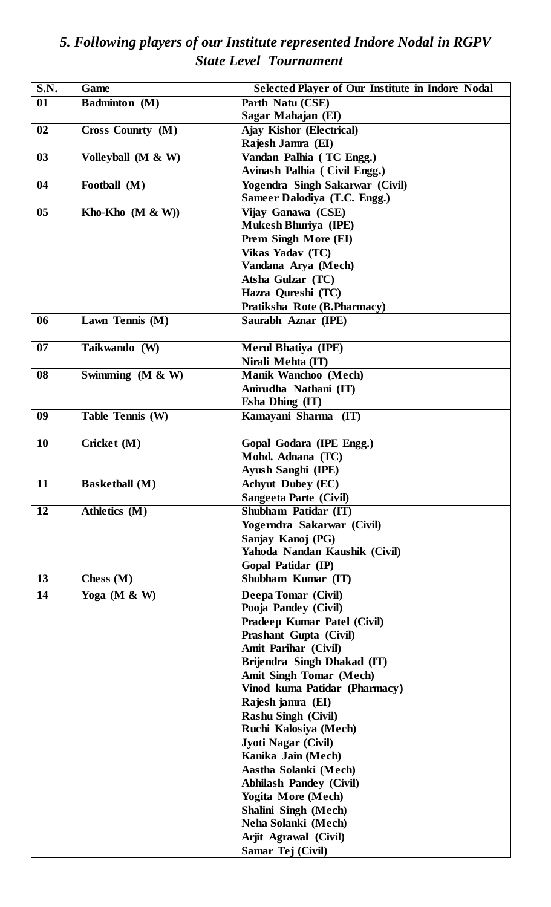## *5. Following players of our Institute represented Indore Nodal in RGPV State Level Tournament*

| S.N.            | Game                  | <b>Selected Player of Our Institute in Indore Nodal</b> |  |  |
|-----------------|-----------------------|---------------------------------------------------------|--|--|
| 01              | <b>Badminton</b> (M)  | Parth Natu (CSE)                                        |  |  |
|                 |                       | Sagar Mahajan (EI)                                      |  |  |
| 02              | Cross Counrty (M)     | <b>Ajay Kishor (Electrical)</b>                         |  |  |
|                 |                       | Rajesh Jamra (EI)                                       |  |  |
| 03              | Volleyball $(M & W)$  | Vandan Palhia (TC Engg.)                                |  |  |
|                 |                       | Avinash Palhia (Civil Engg.)                            |  |  |
| 04              | Football (M)          | Yogendra Singh Sakarwar (Civil)                         |  |  |
|                 |                       | Sameer Dalodiya (T.C. Engg.)                            |  |  |
| 05              | Kho-Kho $(M & W)$     | Vijay Ganawa (CSE)                                      |  |  |
|                 |                       | <b>Mukesh Bhuriya (IPE)</b>                             |  |  |
|                 |                       | Prem Singh More (EI)                                    |  |  |
|                 |                       | Vikas Yadav (TC)                                        |  |  |
|                 |                       | Vandana Arya (Mech)                                     |  |  |
|                 |                       | Atsha Gulzar (TC)                                       |  |  |
|                 |                       | Hazra Qureshi (TC)                                      |  |  |
|                 |                       | Pratiksha Rote (B.Pharmacy)                             |  |  |
| 06              | Lawn Tennis (M)       | Saurabh Aznar (IPE)                                     |  |  |
|                 |                       |                                                         |  |  |
| 07              | Taikwando (W)         | <b>Merul Bhatiya (IPE)</b>                              |  |  |
|                 |                       | Nirali Mehta (IT)                                       |  |  |
| 08              | Swimming $(M & W)$    | <b>Manik Wanchoo (Mech)</b>                             |  |  |
|                 |                       | Anirudha Nathani (IT)                                   |  |  |
|                 |                       | Esha Dhing (IT)                                         |  |  |
| 09              | Table Tennis (W)      | Kamayani Sharma (IT)                                    |  |  |
|                 |                       |                                                         |  |  |
| <b>10</b>       | Cricket (M)           | Gopal Godara (IPE Engg.)                                |  |  |
|                 |                       | Mohd. Adnana (TC)                                       |  |  |
|                 |                       | <b>Ayush Sanghi (IPE)</b>                               |  |  |
| $\overline{11}$ | <b>Basketball</b> (M) | <b>Achyut Dubey (EC)</b>                                |  |  |
|                 |                       | Sangeeta Parte (Civil)                                  |  |  |
| 12              | Athletics (M)         | Shubham Patidar (IT)                                    |  |  |
|                 |                       | Yogerndra Sakarwar (Civil)                              |  |  |
|                 |                       | Sanjay Kanoj (PG)                                       |  |  |
|                 |                       | Yahoda Nandan Kaushik (Civil)                           |  |  |
| 13              |                       | Gopal Patidar (IP)<br>Shubham Kumar (IT)                |  |  |
|                 | Chess $(M)$           |                                                         |  |  |
| 14              | Yoga (M $\&$ W)       | Deepa Tomar (Civil)                                     |  |  |
|                 |                       | Pooja Pandey (Civil)                                    |  |  |
|                 |                       | Pradeep Kumar Patel (Civil)                             |  |  |
|                 |                       | Prashant Gupta (Civil)                                  |  |  |
|                 |                       | Amit Parihar (Civil)                                    |  |  |
|                 |                       | Brijendra Singh Dhakad (IT)                             |  |  |
|                 |                       | <b>Amit Singh Tomar (Mech)</b>                          |  |  |
|                 |                       | Vinod kuma Patidar (Pharmacy)                           |  |  |
|                 |                       | Rajesh jamra (EI)                                       |  |  |
|                 |                       | <b>Rashu Singh (Civil)</b>                              |  |  |
|                 |                       | Ruchi Kalosiya (Mech)                                   |  |  |
|                 |                       | <b>Jyoti Nagar (Civil)</b>                              |  |  |
|                 |                       | Kanika Jain (Mech)                                      |  |  |
|                 |                       | Aastha Solanki (Mech)                                   |  |  |
|                 |                       | <b>Abhilash Pandey (Civil)</b>                          |  |  |
|                 |                       | <b>Yogita More (Mech)</b>                               |  |  |
|                 |                       | <b>Shalini Singh (Mech)</b>                             |  |  |
|                 |                       | Neha Solanki (Mech)                                     |  |  |
|                 |                       | Arjit Agrawal (Civil)                                   |  |  |
|                 |                       | Samar Tej (Civil)                                       |  |  |